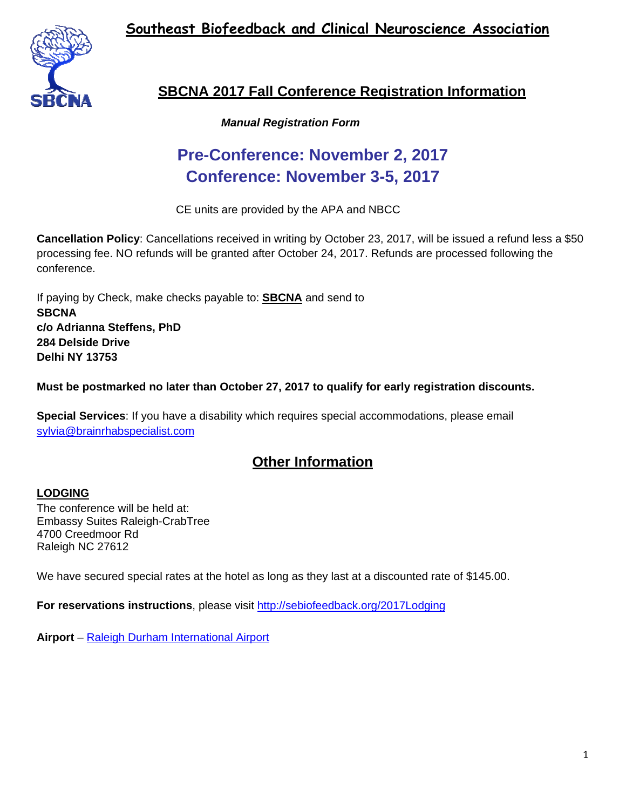**Southeast Biofeedback and Clinical Neuroscience Association**



### **SBCNA 2017 Fall Conference Registration Information**

#### *Manual Registration Form*

# **Pre-Conference: November 2, 2017 Conference: November 3-5, 2017**

CE units are provided by the APA and NBCC

**Cancellation Policy**: Cancellations received in writing by October 23, 2017, will be issued a refund less a \$50 processing fee. NO refunds will be granted after October 24, 2017. Refunds are processed following the conference.

If paying by Check, make checks payable to: **SBCNA** and send to **SBCNA c/o Adrianna Steffens, PhD 284 Delside Drive Delhi NY 13753** 

**Must be postmarked no later than October 27, 2017 to qualify for early registration discounts.** 

**Special Services**: If you have a disability which requires special accommodations, please email [sylvia@brainrhabspecialist.com](mailto:sylvia@brainrhabspecialist.com)

### **Other Information**

#### **LODGING**

The conference will be held at: Embassy Suites Raleigh-CrabTree 4700 Creedmoor Rd Raleigh NC 27612

We have secured special rates at the hotel as long as they last at a discounted rate of \$145.00.

**For reservations instructions**, please visit <http://sebiofeedback.org/2017Lodging>

**Airport** – [Raleigh Durham International Airport](https://www.rdu.com/)